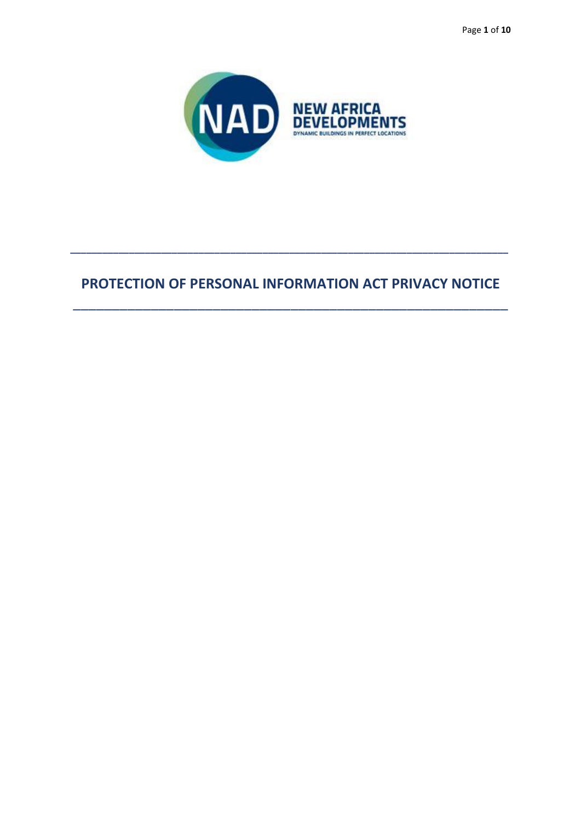Page 1 of 10



# PROTECTION OF PERSONAL INFORMATION ACT PRIVACY NOTICE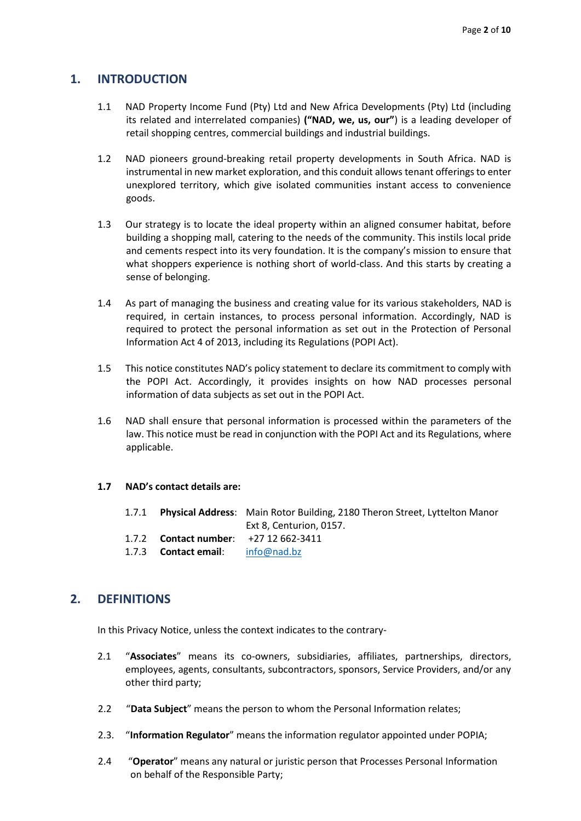## **1. INTRODUCTION**

- 1.1 NAD Property Income Fund (Pty) Ltd and New Africa Developments (Pty) Ltd (including its related and interrelated companies) **("NAD, we, us, our"**) is a leading developer of retail shopping centres, commercial buildings and industrial buildings.
- 1.2 NAD pioneers ground-breaking retail property developments in South Africa. NAD is instrumental in new market exploration, and this conduit allows tenant offerings to enter unexplored territory, which give isolated communities instant access to convenience goods.
- 1.3 Our strategy is to locate the ideal property within an aligned consumer habitat, before building a shopping mall, catering to the needs of the community. This instils local pride and cements respect into its very foundation. It is the company's mission to ensure that what shoppers experience is nothing short of world-class. And this starts by creating a sense of belonging.
- 1.4 As part of managing the business and creating value for its various stakeholders, NAD is required, in certain instances, to process personal information. Accordingly, NAD is required to protect the personal information as set out in the Protection of Personal Information Act 4 of 2013, including its Regulations (POPI Act).
- 1.5 This notice constitutes NAD's policy statement to declare its commitment to comply with the POPI Act. Accordingly, it provides insights on how NAD processes personal information of data subjects as set out in the POPI Act.
- 1.6 NAD shall ensure that personal information is processed within the parameters of the law. This notice must be read in conjunction with the POPI Act and its Regulations, where applicable.

#### **1.7 NAD's contact details are:**

|                                                                                               | 1.7.1 Physical Address: Main Rotor Building, 2180 Theron Street, Lyttelton Manor |
|-----------------------------------------------------------------------------------------------|----------------------------------------------------------------------------------|
|                                                                                               | Ext 8. Centurion. 0157.                                                          |
| 1.7.2 Contact number: $+27$ 12 662-3411                                                       |                                                                                  |
| 1.7.3 <b>Contact email:</b> $\frac{1.7.3}{1.7.3}$ <b>Contact email:</b> $\frac{1.7.3}{1.7.3}$ |                                                                                  |

## **2. DEFINITIONS**

In this Privacy Notice, unless the context indicates to the contrary-

- 2.1 "**Associates**" means its co-owners, subsidiaries, affiliates, partnerships, directors, employees, agents, consultants, subcontractors, sponsors, Service Providers, and/or any other third party;
- 2.2 "**Data Subject**" means the person to whom the Personal Information relates;
- 2.3. "**Information Regulator**" means the information regulator appointed under POPIA;
- 2.4 "**Operator**" means any natural or juristic person that Processes Personal Information on behalf of the Responsible Party;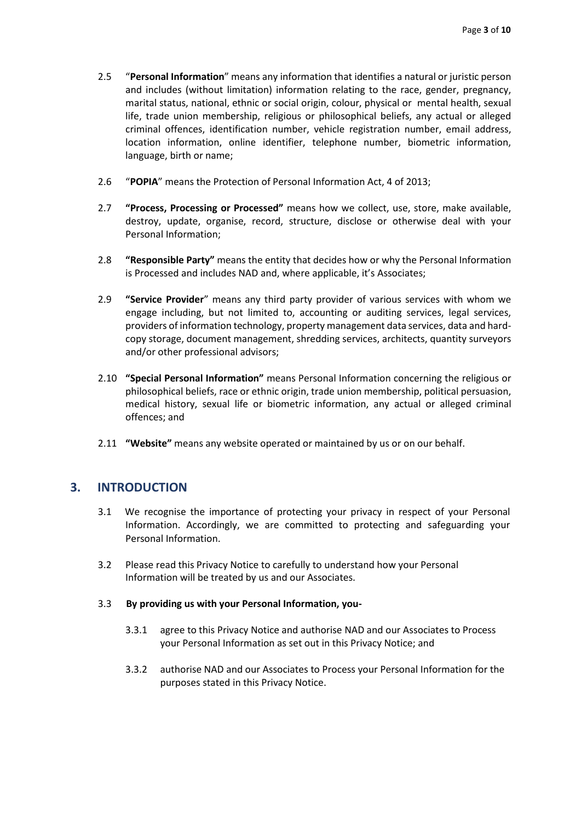- 2.5 "**Personal Information**" means any information that identifies a natural or juristic person and includes (without limitation) information relating to the race, gender, pregnancy, marital status, national, ethnic or social origin, colour, physical or mental health, sexual life, trade union membership, religious or philosophical beliefs, any actual or alleged criminal offences, identification number, vehicle registration number, email address, location information, online identifier, telephone number, biometric information, language, birth or name;
- 2.6 "**POPIA**" means the Protection of Personal Information Act, 4 of 2013;
- 2.7 **"Process, Processing or Processed"** means how we collect, use, store, make available, destroy, update, organise, record, structure, disclose or otherwise deal with your Personal Information;
- 2.8 **"Responsible Party"** means the entity that decides how or why the Personal Information is Processed and includes NAD and, where applicable, it's Associates;
- 2.9 **"Service Provider**" means any third party provider of various services with whom we engage including, but not limited to, accounting or auditing services, legal services, providers of information technology, property management data services, data and hardcopy storage, document management, shredding services, architects, quantity surveyors and/or other professional advisors;
- 2.10 **"Special Personal Information"** means Personal Information concerning the religious or philosophical beliefs, race or ethnic origin, trade union membership, political persuasion, medical history, sexual life or biometric information, any actual or alleged criminal offences; and
- 2.11 **"Website"** means any website operated or maintained by us or on our behalf.

## **3. INTRODUCTION**

- 3.1 We recognise the importance of protecting your privacy in respect of your Personal Information. Accordingly, we are committed to protecting and safeguarding your Personal Information.
- 3.2 Please read this Privacy Notice to carefully to understand how your Personal Information will be treated by us and our Associates.
- 3.3 **By providing us with your Personal Information, you-**
	- 3.3.1 agree to this Privacy Notice and authorise NAD and our Associates to Process your Personal Information as set out in this Privacy Notice; and
	- 3.3.2 authorise NAD and our Associates to Process your Personal Information for the purposes stated in this Privacy Notice.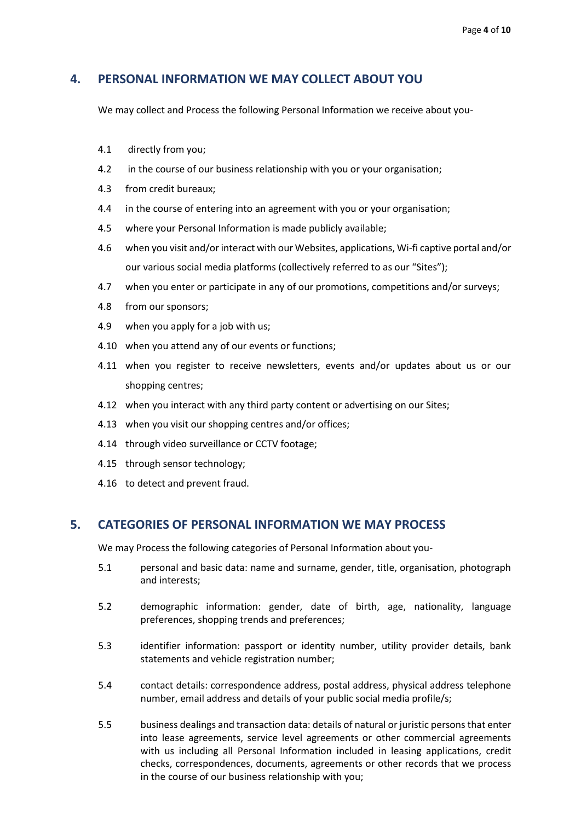## **4. PERSONAL INFORMATION WE MAY COLLECT ABOUT YOU**

We may collect and Process the following Personal Information we receive about you-

- 4.1 directly from you;
- 4.2 in the course of our business relationship with you or your organisation;
- 4.3 from credit bureaux;
- 4.4 in the course of entering into an agreement with you or your organisation;
- 4.5 where your Personal Information is made publicly available;
- 4.6 when you visit and/or interact with our Websites, applications, Wi-fi captive portal and/or our various social media platforms (collectively referred to as our "Sites");
- 4.7 when you enter or participate in any of our promotions, competitions and/or surveys;
- 4.8 from our sponsors;
- 4.9 when you apply for a job with us;
- 4.10 when you attend any of our events or functions;
- 4.11 when you register to receive newsletters, events and/or updates about us or our shopping centres;
- 4.12 when you interact with any third party content or advertising on our Sites;
- 4.13 when you visit our shopping centres and/or offices;
- 4.14 through video surveillance or CCTV footage;
- 4.15 through sensor technology;
- 4.16 to detect and prevent fraud.

#### **5. CATEGORIES OF PERSONAL INFORMATION WE MAY PROCESS**

We may Process the following categories of Personal Information about you-

- 5.1 personal and basic data: name and surname, gender, title, organisation, photograph and interests;
- 5.2 demographic information: gender, date of birth, age, nationality, language preferences, shopping trends and preferences;
- 5.3 identifier information: passport or identity number, utility provider details, bank statements and vehicle registration number;
- 5.4 contact details: correspondence address, postal address, physical address telephone number, email address and details of your public social media profile/s;
- 5.5 business dealings and transaction data: details of natural or juristic persons that enter into lease agreements, service level agreements or other commercial agreements with us including all Personal Information included in leasing applications, credit checks, correspondences, documents, agreements or other records that we process in the course of our business relationship with you;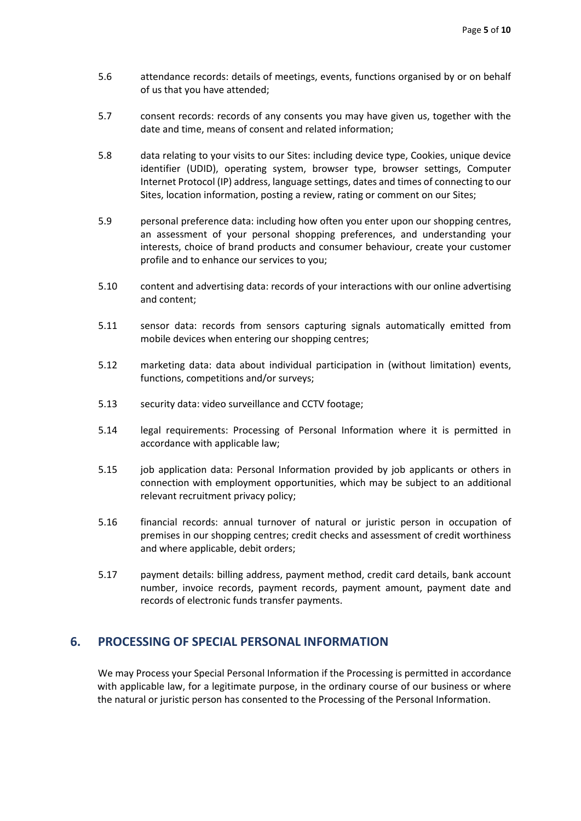- 5.6 attendance records: details of meetings, events, functions organised by or on behalf of us that you have attended;
- 5.7 consent records: records of any consents you may have given us, together with the date and time, means of consent and related information;
- 5.8 data relating to your visits to our Sites: including device type, Cookies, unique device identifier (UDID), operating system, browser type, browser settings, Computer Internet Protocol (IP) address, language settings, dates and times of connecting to our Sites, location information, posting a review, rating or comment on our Sites;
- 5.9 personal preference data: including how often you enter upon our shopping centres, an assessment of your personal shopping preferences, and understanding your interests, choice of brand products and consumer behaviour, create your customer profile and to enhance our services to you;
- 5.10 content and advertising data: records of your interactions with our online advertising and content;
- 5.11 sensor data: records from sensors capturing signals automatically emitted from mobile devices when entering our shopping centres;
- 5.12 marketing data: data about individual participation in (without limitation) events, functions, competitions and/or surveys;
- 5.13 security data: video surveillance and CCTV footage;
- 5.14 legal requirements: Processing of Personal Information where it is permitted in accordance with applicable law;
- 5.15 job application data: Personal Information provided by job applicants or others in connection with employment opportunities, which may be subject to an additional relevant recruitment privacy policy;
- 5.16 financial records: annual turnover of natural or juristic person in occupation of premises in our shopping centres; credit checks and assessment of credit worthiness and where applicable, debit orders;
- 5.17 payment details: billing address, payment method, credit card details, bank account number, invoice records, payment records, payment amount, payment date and records of electronic funds transfer payments.

#### **6. PROCESSING OF SPECIAL PERSONAL INFORMATION**

We may Process your Special Personal Information if the Processing is permitted in accordance with applicable law, for a legitimate purpose, in the ordinary course of our business or where the natural or juristic person has consented to the Processing of the Personal Information.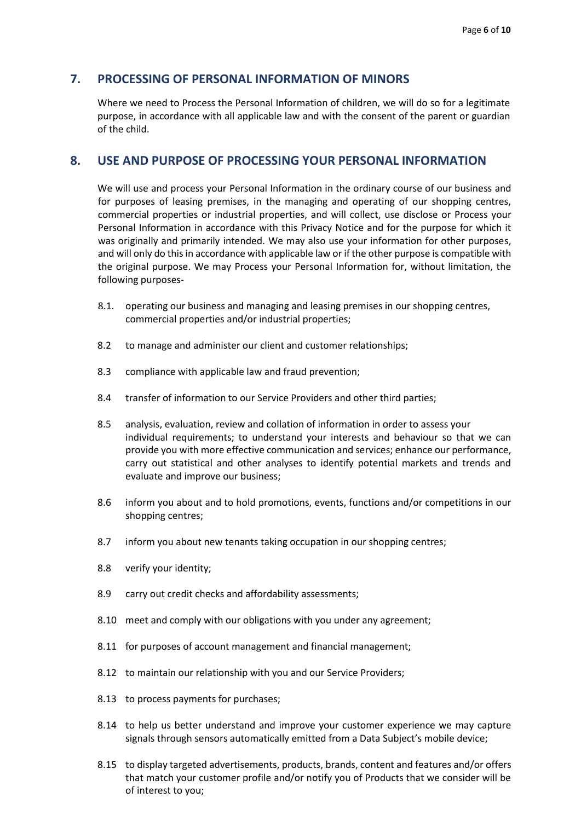#### **7. PROCESSING OF PERSONAL INFORMATION OF MINORS**

Where we need to Process the Personal Information of children, we will do so for a legitimate purpose, in accordance with all applicable law and with the consent of the parent or guardian of the child.

#### **8. USE AND PURPOSE OF PROCESSING YOUR PERSONAL INFORMATION**

We will use and process your Personal Information in the ordinary course of our business and for purposes of leasing premises, in the managing and operating of our shopping centres, commercial properties or industrial properties, and will collect, use disclose or Process your Personal Information in accordance with this Privacy Notice and for the purpose for which it was originally and primarily intended. We may also use your information for other purposes, and will only do this in accordance with applicable law or if the other purpose is compatible with the original purpose. We may Process your Personal Information for, without limitation, the following purposes-

- 8.1. operating our business and managing and leasing premises in our shopping centres, commercial properties and/or industrial properties;
- 8.2 to manage and administer our client and customer relationships;
- 8.3 compliance with applicable law and fraud prevention;
- 8.4 transfer of information to our Service Providers and other third parties;
- 8.5 analysis, evaluation, review and collation of information in order to assess your individual requirements; to understand your interests and behaviour so that we can provide you with more effective communication and services; enhance our performance, carry out statistical and other analyses to identify potential markets and trends and evaluate and improve our business;
- 8.6 inform you about and to hold promotions, events, functions and/or competitions in our shopping centres;
- 8.7 inform you about new tenants taking occupation in our shopping centres;
- 8.8 verify your identity;
- 8.9 carry out credit checks and affordability assessments;
- 8.10 meet and comply with our obligations with you under any agreement;
- 8.11 for purposes of account management and financial management;
- 8.12 to maintain our relationship with you and our Service Providers;
- 8.13 to process payments for purchases;
- 8.14 to help us better understand and improve your customer experience we may capture signals through sensors automatically emitted from a Data Subject's mobile device;
- 8.15 to display targeted advertisements, products, brands, content and features and/or offers that match your customer profile and/or notify you of Products that we consider will be of interest to you;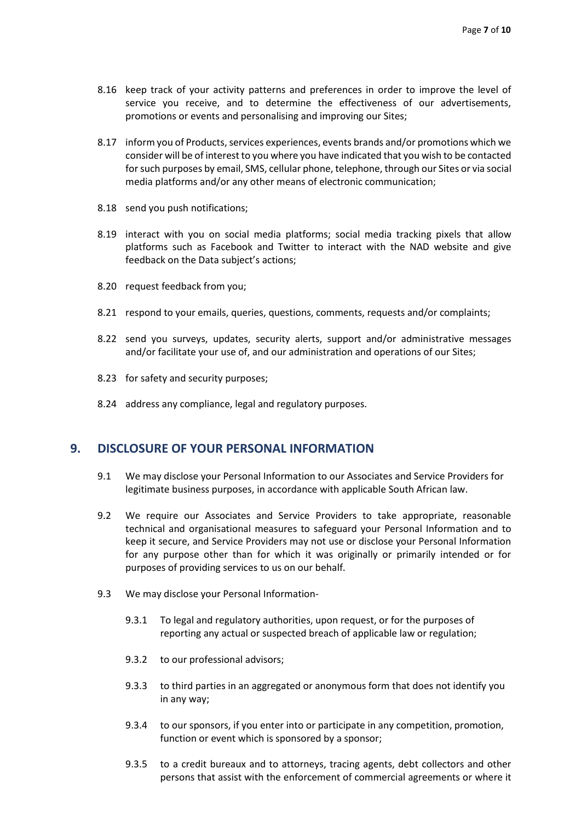- 8.16 keep track of your activity patterns and preferences in order to improve the level of service you receive, and to determine the effectiveness of our advertisements, promotions or events and personalising and improving our Sites;
- 8.17 inform you of Products, services experiences, events brands and/or promotions which we consider will be of interest to you where you have indicated that you wish to be contacted for such purposes by email, SMS, cellular phone, telephone, through our Sites or via social media platforms and/or any other means of electronic communication;
- 8.18 send you push notifications;
- 8.19 interact with you on social media platforms; social media tracking pixels that allow platforms such as Facebook and Twitter to interact with the NAD website and give feedback on the Data subject's actions;
- 8.20 request feedback from you;
- 8.21 respond to your emails, queries, questions, comments, requests and/or complaints;
- 8.22 send you surveys, updates, security alerts, support and/or administrative messages and/or facilitate your use of, and our administration and operations of our Sites;
- 8.23 for safety and security purposes;
- 8.24 address any compliance, legal and regulatory purposes.

#### **9. DISCLOSURE OF YOUR PERSONAL INFORMATION**

- 9.1 We may disclose your Personal Information to our Associates and Service Providers for legitimate business purposes, in accordance with applicable South African law.
- 9.2 We require our Associates and Service Providers to take appropriate, reasonable technical and organisational measures to safeguard your Personal Information and to keep it secure, and Service Providers may not use or disclose your Personal Information for any purpose other than for which it was originally or primarily intended or for purposes of providing services to us on our behalf.
- 9.3 We may disclose your Personal Information-
	- 9.3.1 To legal and regulatory authorities, upon request, or for the purposes of reporting any actual or suspected breach of applicable law or regulation;
	- 9.3.2 to our professional advisors;
	- 9.3.3 to third parties in an aggregated or anonymous form that does not identify you in any way;
	- 9.3.4 to our sponsors, if you enter into or participate in any competition, promotion, function or event which is sponsored by a sponsor;
	- 9.3.5 to a credit bureaux and to attorneys, tracing agents, debt collectors and other persons that assist with the enforcement of commercial agreements or where it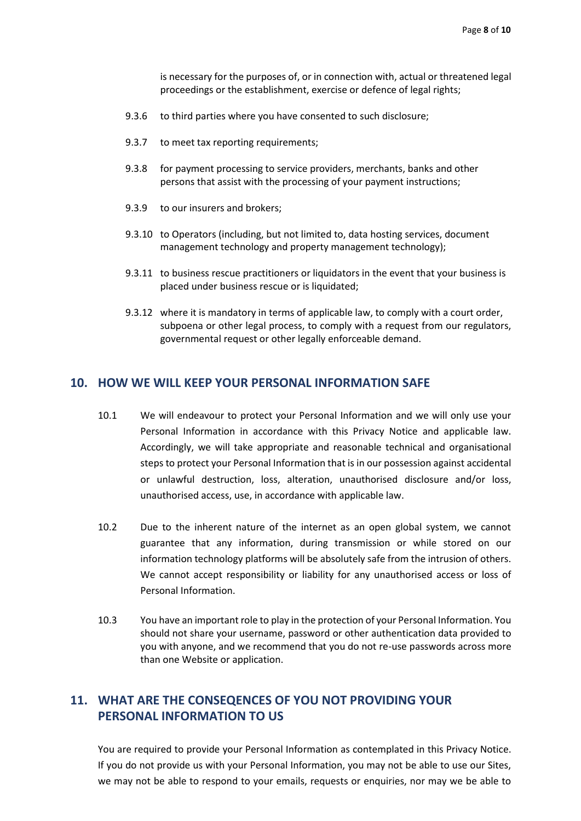is necessary for the purposes of, or in connection with, actual or threatened legal proceedings or the establishment, exercise or defence of legal rights;

- 9.3.6 to third parties where you have consented to such disclosure;
- 9.3.7 to meet tax reporting requirements;
- 9.3.8 for payment processing to service providers, merchants, banks and other persons that assist with the processing of your payment instructions;
- 9.3.9 to our insurers and brokers;
- 9.3.10 to Operators (including, but not limited to, data hosting services, document management technology and property management technology);
- 9.3.11 to business rescue practitioners or liquidators in the event that your business is placed under business rescue or is liquidated;
- 9.3.12 where it is mandatory in terms of applicable law, to comply with a court order, subpoena or other legal process, to comply with a request from our regulators, governmental request or other legally enforceable demand.

#### **10. HOW WE WILL KEEP YOUR PERSONAL INFORMATION SAFE**

- 10.1 We will endeavour to protect your Personal Information and we will only use your Personal Information in accordance with this Privacy Notice and applicable law. Accordingly, we will take appropriate and reasonable technical and organisational steps to protect your Personal Information that is in our possession against accidental or unlawful destruction, loss, alteration, unauthorised disclosure and/or loss, unauthorised access, use, in accordance with applicable law.
- 10.2 Due to the inherent nature of the internet as an open global system, we cannot guarantee that any information, during transmission or while stored on our information technology platforms will be absolutely safe from the intrusion of others. We cannot accept responsibility or liability for any unauthorised access or loss of Personal Information.
- 10.3 You have an important role to play in the protection of your Personal Information. You should not share your username, password or other authentication data provided to you with anyone, and we recommend that you do not re-use passwords across more than one Website or application.

# **11. WHAT ARE THE CONSEQENCES OF YOU NOT PROVIDING YOUR PERSONAL INFORMATION TO US**

You are required to provide your Personal Information as contemplated in this Privacy Notice. If you do not provide us with your Personal Information, you may not be able to use our Sites, we may not be able to respond to your emails, requests or enquiries, nor may we be able to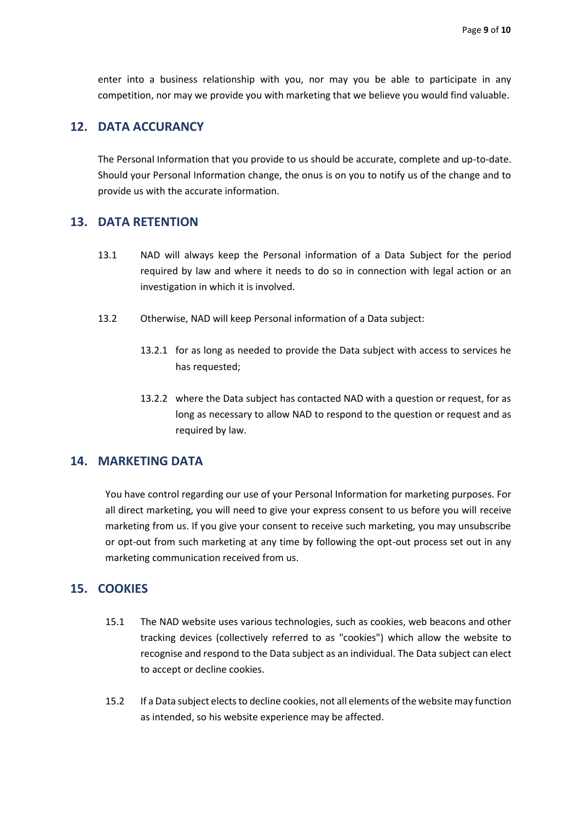enter into a business relationship with you, nor may you be able to participate in any competition, nor may we provide you with marketing that we believe you would find valuable.

## **12. DATA ACCURANCY**

The Personal Information that you provide to us should be accurate, complete and up-to-date. Should your Personal Information change, the onus is on you to notify us of the change and to provide us with the accurate information.

## **13. DATA RETENTION**

- 13.1 NAD will always keep the Personal information of a Data Subject for the period required by law and where it needs to do so in connection with legal action or an investigation in which it is involved.
- 13.2 Otherwise, NAD will keep Personal information of a Data subject:
	- 13.2.1 for as long as needed to provide the Data subject with access to services he has requested;
	- 13.2.2 where the Data subject has contacted NAD with a question or request, for as long as necessary to allow NAD to respond to the question or request and as required by law.

## **14. MARKETING DATA**

You have control regarding our use of your Personal Information for marketing purposes. For all direct marketing, you will need to give your express consent to us before you will receive marketing from us. If you give your consent to receive such marketing, you may unsubscribe or opt-out from such marketing at any time by following the opt-out process set out in any marketing communication received from us.

#### **15. COOKIES**

- 15.1 The NAD website uses various technologies, such as cookies, web beacons and other tracking devices (collectively referred to as "cookies") which allow the website to recognise and respond to the Data subject as an individual. The Data subject can elect to accept or decline cookies.
- 15.2 If a Data subject elects to decline cookies, not all elements of the website may function as intended, so his website experience may be affected.